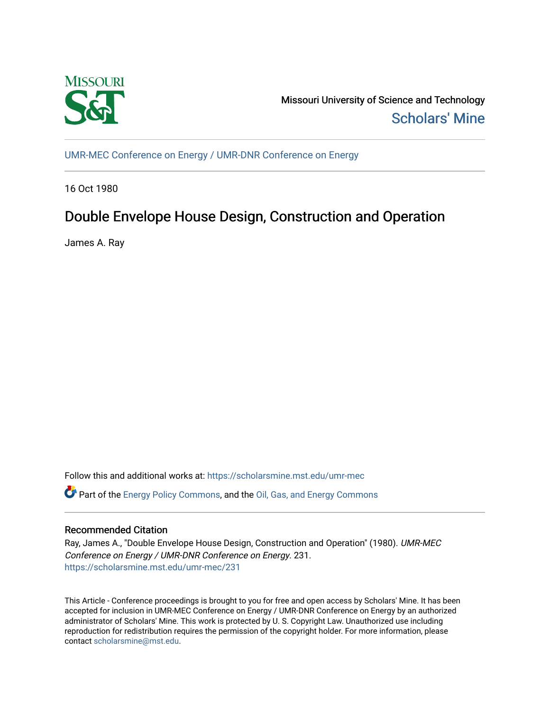

Missouri University of Science and Technology [Scholars' Mine](https://scholarsmine.mst.edu/) 

[UMR-MEC Conference on Energy / UMR-DNR Conference on Energy](https://scholarsmine.mst.edu/umr-mec)

16 Oct 1980

# Double Envelope House Design, Construction and Operation

James A. Ray

Follow this and additional works at: [https://scholarsmine.mst.edu/umr-mec](https://scholarsmine.mst.edu/umr-mec?utm_source=scholarsmine.mst.edu%2Fumr-mec%2F231&utm_medium=PDF&utm_campaign=PDFCoverPages) 

Part of the [Energy Policy Commons](http://network.bepress.com/hgg/discipline/1065?utm_source=scholarsmine.mst.edu%2Fumr-mec%2F231&utm_medium=PDF&utm_campaign=PDFCoverPages), and the [Oil, Gas, and Energy Commons](http://network.bepress.com/hgg/discipline/171?utm_source=scholarsmine.mst.edu%2Fumr-mec%2F231&utm_medium=PDF&utm_campaign=PDFCoverPages)

# Recommended Citation

Ray, James A., "Double Envelope House Design, Construction and Operation" (1980). UMR-MEC Conference on Energy / UMR-DNR Conference on Energy. 231. [https://scholarsmine.mst.edu/umr-mec/231](https://scholarsmine.mst.edu/umr-mec/231?utm_source=scholarsmine.mst.edu%2Fumr-mec%2F231&utm_medium=PDF&utm_campaign=PDFCoverPages) 

This Article - Conference proceedings is brought to you for free and open access by Scholars' Mine. It has been accepted for inclusion in UMR-MEC Conference on Energy / UMR-DNR Conference on Energy by an authorized administrator of Scholars' Mine. This work is protected by U. S. Copyright Law. Unauthorized use including reproduction for redistribution requires the permission of the copyright holder. For more information, please contact [scholarsmine@mst.edu](mailto:scholarsmine@mst.edu).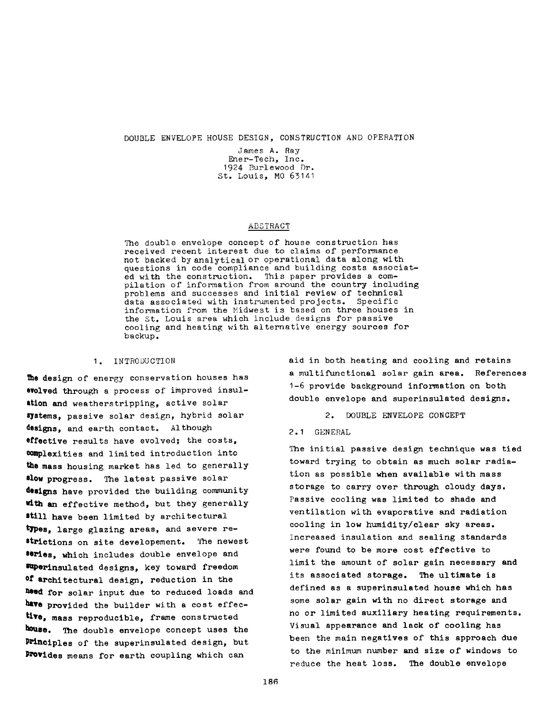**DOUBLE ENVELOPE HOUSE DESIGN, CONSTRUCTION AND OPERATION**

**James A. Ray Ener-Tech, Inc. 1924 Burlewood Dr. St. Louis, MO 63141**

#### **ABSTRACT**

**The double envelope concept of house construction has received recent interest due to claims of performance not backed by analytical or operational data along with questions in code compliance and building costs associated with the construction. This paper provides a compilation of information from around the country including problems and successes and initial review of technical data associated with instrumented projects. Specific information from the Midwest is based on three houses in the St. Louis area which include designs for passive cooling and heating with alternative energy sources for backup.**

#### **1. INTRODUCTION**

**The design of energy conservation houses has evolved through a process of improved insulation and weatherstripping, active solar systems, passive solar design, hybrid solar designs, and earth contact. Although effective results have evolved; the costs, complexities and limited introduction into the mass housing market has led to generally slow progress. The latest passive solar designs have provided the building community with an effective method, but they generally ■till have been limited by architectural types, large glazing areas, and severe restrictions on site developement. The newest series, which includes double envelope and Sttperinsulated designs, key toward freedom °f architectural design, reduction in the Peed for solar input due to reduced loads and have provided the builder with a cost effective, mass reproducible, frame constructed house. The double envelope concept uses the Principles of the superinsulated design, but Provides means for earth coupling which can**

**aid in both heating and cooling and retains a multifunctional solar gain area. References 1-6 provide background information on both double envelope and superinsulated designs.**

**2. DOUBLE ENVELOPE CONCEPT**

### **2.1 GENERAL**

**The initial passive design technique was tied toward trying to obtain as much solar radiation as possible when available with mass storage to carry over through cloudy days. Passive cooling was limited to shade and ventilation with evaporative and radiation cooling in low humidity/clear sky areas. Increased insulation and sealing standards were found to be more cost effective to limit the amount of solar gain necessary and its associated storage. The ultimate is defined as a superinsulated house which has some solar gain with no direct storage and no or limited auxiliary heating requirements. Visual appearance and lack of cooling has been the main negatives of this approach due to the minimum number and size of windows to reduce the heat loss. The double envelope**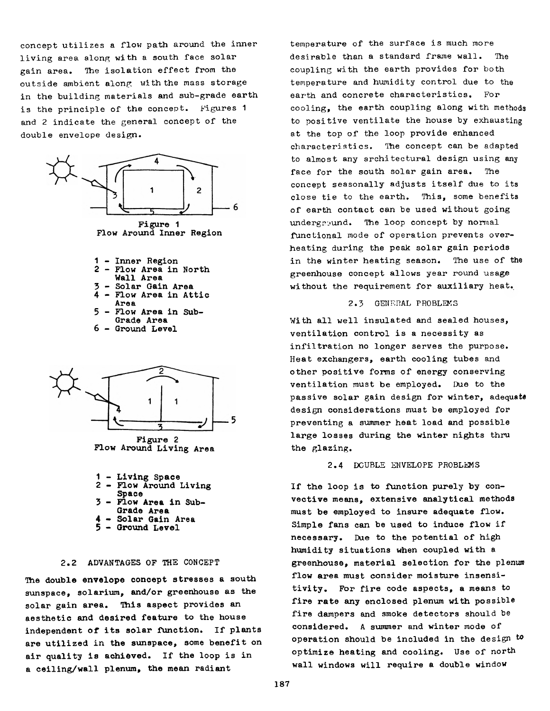**concept utilizes a flow path around the inner living area along with a south face solar gain area. The isolation effect from the outside ambient along with the mass storage in the building materials and sub-grade earth is the principle of the concept. Figures 1 and 2 indicate the general concept of the double envelope design.**



**Flow Around Inner Region**

- **1 Inner Region 2 - Flow Area in North**
- **Wall Area**
- **3 Solar Gain Area**
- **4 Flow Area in Attic Area**
- **5 Flow Area in Sub-Grade Area**
- **6 Ground Level**



**Figure 2 Flow Around Living Area**

- **1 Living Space 2 - Flow Around Living**
- **Space**
- **3 Flow Area in Sub-**
- **Grade Area**
- **4 Solar Gain Area**
- **5 Ground Level**

# **2.2 ADVANTAGES OF THE CONCEPT**

**The double envelope concept stresses a south sunspace, solarium, and/or greenhouse as the solar gain area. This aspect provides an aesthetic and desired feature to the house independent of its solar function. If plants are utilized in the sunspace, some benefit on air quality is achieved. If the loop is in a ceiling/wall plenum, the mean radiant**

**temperature of the surface is much more desirable than a standard frame wall. The coupling with the earth provides for both temperature and humidity control due to the earth and concrete characteristics. For cooling, the earth coupling along with methods to positive ventilate the house by exhausting at the top of the loop provide enhanced characteristics. The concept can be adapted to almost any architectural design using any face for the south solar gain area. The concept seasonally adjusts itself due to its close tie to the earth. This, some benefits of earth contact can be used without going underground. The loop concept by normal functional mode of operation prevents overheating during the peak solar gain periods in the winter heating season. The use of the greenhouse concept allows year round usage without the requirement for auxiliary heat.**

#### **2.3 GENERAL PROBLEMS**

**With all well insulated and sealed houses, ventilation control is a necessity as infiltration no longer serves the purpose. Heat exchangers, earth cooling tubes and other positive forms of energy conserving ventilation must be employed. Due to the passive solar gain design for winter, adequate design considerations must be employed for preventing a summer heat load and possible large losses during the winter nights thru the glazing.**

#### **2.4 DOUBLE ENVELOPE PROBLEMS**

**If the loop is to function purely by convective means, extensive analytical methods must be employed to insure adequate flow. Simple fans can be used to induce flow if necessary. Due to the potential of high humidity situations when coupled with a greenhouse, material selection for the plenum flow area must consider moisture insensitivity. For fire code aspects, a means to fire rate any enclosed plenum with possible fire dampers and smoke detectors should be considered. A summer and winter mode of operation should be included in the design to optimize heating and cooling. Use of north wall windows will require a double window**

**187**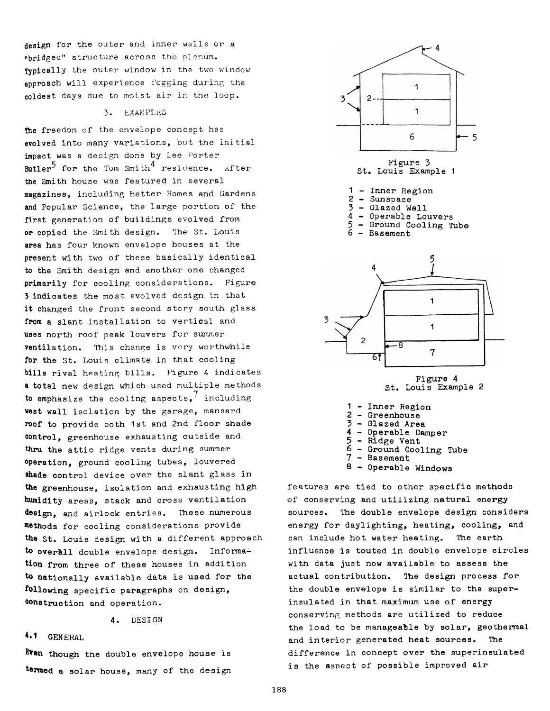**design for the outer and inner walls or a "bridged" structure across the plenum. Typically the outer window in the two window approach will experience fogging during the coldest days due to moist air in the loop.**

#### **3. EXAMPLES**

**Ihe freedom of the envelope concept has evolved into many variations, but the initial impact was a design done by Lee Sorter 3 4 Butler for the Tom Smith residence. after the Smith house was featured in several magazines, including Better Homes and Gardens and Popular Science, the large portion of the first generation of buildings evolved from or copied the Smith design. The St. Louis area has four known envelope houses at the present with two of these basically identical to the Smith design and another one changed primarily for cooling considerations. Figure 3 indicates the most evolved design in that it changed the front second story south glass from a slant installation to vertical and uses north roof peak louvers for summer ventilation. This change is very worthwhile for the St. Louis climate in that cooling bills rival heating bills. Figure 4 indicates a total new design which used multiple methods** 7 **to emphasize the cooling aspects, including vest wall isolation by the garage, mansard roof to provide both 1st and 2nd floor shade control, greenhouse exhausting outside and thru the attic ridge vents during summer operation, ground cooling tubes, louvered shade control device over the slant glass in the greenhouse, isolation and exhausting high humidity areas, stack and cross ventilation design, and airlock entries. These numerous methods for cooling considerations provide the St. Louis design with a different approach** to overall double envelope design. Informa**tion from three of these houses in addition to nationally available data is used for the following specific paragraphs on design, instruction and operation.**

**4. DESIGN**

# **♦•1 GENERAL**

**Even though the double envelope house is termed a solar house, many of the design**





**Figure 4 St. Louis Example 2**

- **1 Inner Region**
- **2 Greenhouse**

3

- **3 Glazed Area**
- **4 Operable Damper**
- **5 Ridge Vent**
- **6 Ground Cooling Tube**
- **7 Basement**
- **8 Operable Windows**

**features are tied to other specific methods of conserving and utilizing natural energy sources. The double envelope design considers energy for daylighting, heating, cooling, and can include hot water heating. The earth influence is touted in double envelope circles with data just now available to assess the actual contribution. The design process for the double envelope is similar to the superinsulated in that maximum use of energy conserving methods are utilized to reduce the load to be manageable by solar, geothermal and interior generated heat sources. The difference in concept over the superinsulated is the asoect of possible improved air**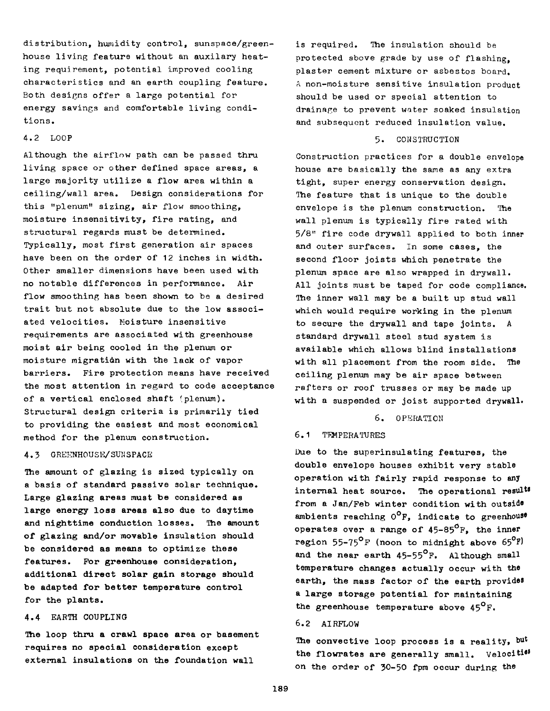**distribution, humidity control, sunspace/greenhouse living feature without an auxilary heating requirement, potential improved cooling characteristics and an earth coupling feature. Both designs offer a large potential for energy savings and comfortable living conditions.**

#### **4.2 LOOP**

**Although the airflow path can be passed thru living space or other defined space areas, a large majority utilize a flow area within a ceiling/wall area. Design considerations for this "plenum" sizing, air flow smoothing, moisture insensitivity, fire rating, and structural regards must be determined. Typically, most first generation air spaces have been on the order of 12 inches in width. Other smaller dimensions have been used with no notable differences in performance. Air flow smoothing has been shown to be a desired trait but not absolute due to the low associated velocities. Moisture insensitive requirements are associated with greenhouse moist air being cooled in the plenum or moisture migration with the lack of vapor barriers. Fire protection means have received the most attention in regard to code acceptance of a vertical enclosed shaft (plenum). Structural design criteria is primarily tied to providing the easiest and most economical method for the plenum construction.**

#### **4.3 GREENHOUSE/SUMSPACE**

**The amount of glazing is sized typically on a basis of standard passive solar technique. Large glazing areas must be considered as large energy loss areas also due to daytime and nighttime conduction losses. The amount of glazing and/or movable insulation should be considered as means to optimize these features. For greenhouse consideration, additional direct solar gain storage should be adapted for better temperature control for the plants.**

# **4.4 EARTH COUPLING**

**The loop thru a crawl space area or basement requires no special consideration except external insulations on the foundation wall**

**is required. The insulation should be protected above grade by use of flashing, plaster cement mixture or asbestos board. A non-moisture sensitive insulation product should be used or special attention to drainage to prevent water soaked insulation and subsequent reduced insulation value.**

#### **5. CONSTRUCTION**

**Construction practices for a double envelope house are basically the same as any extra tight, super energy conservation design. The feature that is unique to the double envelope is the plenum construction. The wall plenum is typically fire rated with 5/8" fire code drywall applied to both inner and outer surfaces. In some cases, the second floor joists which penetrate the plenum space are also wrapped in drywall. All joints must be taped for code compliance. The inner wall may be a built up stud wall which would require working in the plenum to secure the drywall and tape joints. A standard drywall steel stud system is available which allows blind installations with all placement from the room side. The ceiling plenum may be air space between rafters or roof trusses or may be made up with a suspended or joist supported drywall.**

#### **6. OPERATION**

#### **6.1 TEMPERATURES**

**Due to the superinsulating features, the double envelope houses exhibit very stable operation with fairly rapid response to any internal heat source. The operational result® from a Jan/Feb winter condition with** outside **ambients reaching 0°F, indicate to greenhouse operates over a range of 45-85°F, the inner region 55-75°F (noon to midnight above 65°F) and the near earth 45-55°F. Although small temperature changes actually occur with the earth, the mass factor of the earth provides a large storage potential for maintaining the greenhouse temperature above 45°F.**

# **6.2 AIRFLOW**

The convective loop process is a reality, but the flowrates are generally small. Velociti<sup>es</sup> **on the order of 30-50 fpm occur during the**